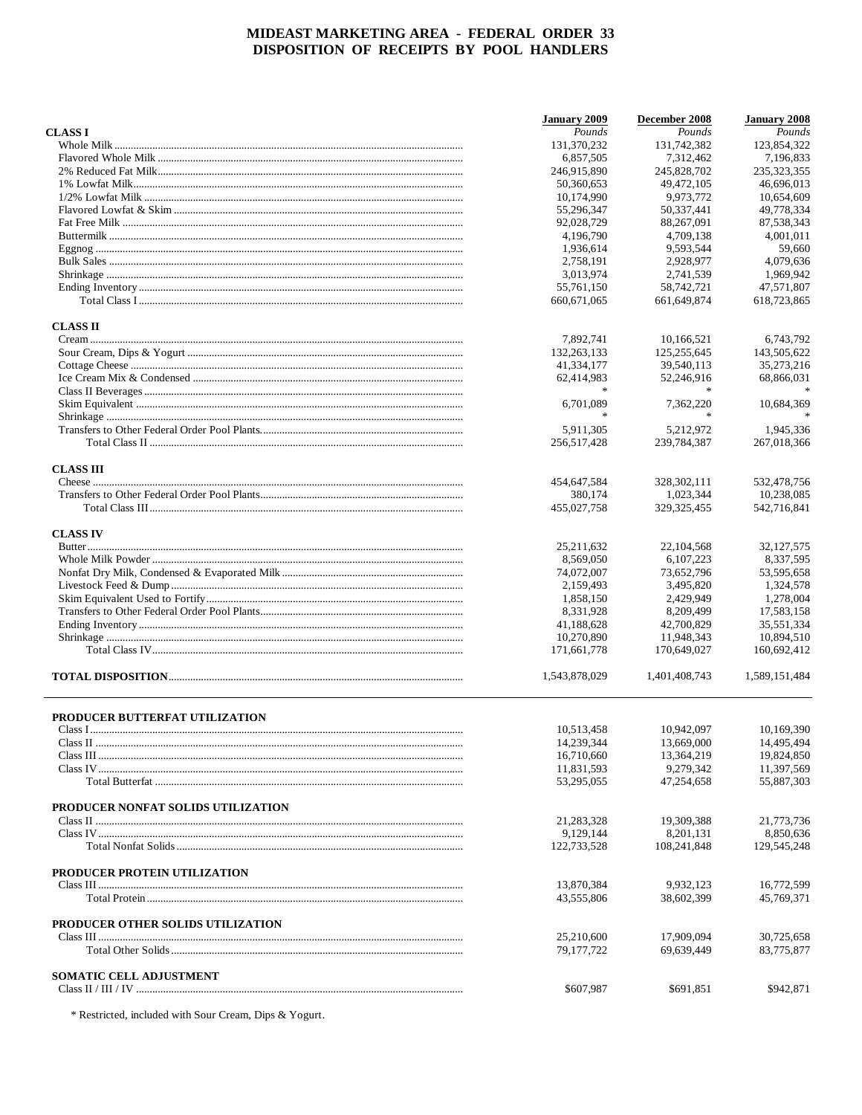|                                    | <b>January 2009</b>      | December 2008           | <b>January 2008</b>      |
|------------------------------------|--------------------------|-------------------------|--------------------------|
| <b>CLASSI</b>                      | Pounds                   | Pounds                  | Pounds                   |
|                                    | 131,370,232              | 131,742,382             | 123,854,322              |
|                                    | 6,857,505                | 7,312,462               | 7,196,833                |
|                                    | 246,915,890              | 245,828,702             | 235, 323, 355            |
|                                    | 50,360,653               | 49,472,105              | 46,696,013               |
|                                    | 10,174,990               | 9.973.772               | 10,654,609               |
|                                    | 55,296,347               | 50,337,441              | 49,778,334               |
|                                    | 92,028,729               | 88,267,091              | 87,538,343               |
|                                    | 4,196,790                | 4,709,138               | 4,001,011                |
|                                    | 1,936,614                | 9,593,544               | 59,660                   |
|                                    | 2,758,191                | 2,928,977               | 4,079,636                |
|                                    | 3,013,974                | 2.741.539               | 1,969,942                |
|                                    | 55,761,150               | 58,742,721              | 47,571,807               |
|                                    | 660,671,065              | 661,649,874             | 618.723.865              |
| <b>CLASS II</b>                    |                          |                         |                          |
|                                    | 7,892,741                | 10,166,521              | 6,743,792                |
|                                    | 132,263,133              | 125,255,645             | 143,505,622              |
|                                    | 41,334,177               | 39,540,113              | 35,273,216               |
|                                    | 62,414,983               | 52,246,916              | 68,866,031               |
|                                    |                          |                         |                          |
|                                    | 6,701,089                | 7.362.220               | 10,684,369               |
|                                    | $\frac{1}{2}$            | $\ast$                  |                          |
|                                    | 5,911,305                | 5,212,972               | 1,945,336                |
|                                    | 256,517,428              | 239,784,387             | 267,018,366              |
| <b>CLASS III</b>                   |                          |                         |                          |
|                                    | 454,647,584              | 328, 302, 111           | 532,478,756              |
|                                    | 380,174                  | 1,023,344               | 10,238,085               |
|                                    | 455,027,758              | 329, 325, 455           | 542,716,841              |
| <b>CLASS IV</b>                    |                          |                         |                          |
|                                    | 25, 211, 632             | 22, 104, 568            | 32, 127, 575             |
|                                    | 8,569,050                | 6, 107, 223             | 8,337,595                |
|                                    | 74,072,007               | 73,652,796              | 53,595,658               |
|                                    | 2,159,493                | 3,495,820               | 1,324,578                |
|                                    | 1,858,150                | 2,429,949               | 1,278,004                |
|                                    | 8,331,928                | 8,209,499               | 17,583,158               |
|                                    | 41,188,628               | 42,700,829              | 35,551,334               |
|                                    | 10,270,890               | 11,948,343              | 10,894,510               |
|                                    | 171,661,778              | 170,649,027             | 160,692,412              |
|                                    | 1,543,878,029            | 1,401,408,743           | 1,589,151,484            |
| PRODUCER BUTTERFAT UTILIZATION     |                          |                         |                          |
|                                    | 10.513.458               | 10,942,097              | 10,169,390               |
| Class II.                          |                          |                         | 14,495,494               |
|                                    | 14,239,344               | 13,669,000              |                          |
|                                    | 16,710,660               | 13,364,219              | 19,824,850               |
|                                    | 11,831,593<br>53,295,055 | 9,279,342<br>47,254,658 | 11,397,569<br>55,887,303 |
| PRODUCER NONFAT SOLIDS UTILIZATION |                          |                         |                          |
|                                    | 21,283,328               | 19,309,388              | 21,773,736               |
|                                    | 9,129,144                | 8.201.131               | 8.850.636                |
|                                    | 122,733,528              | 108,241,848             | 129,545,248              |
| PRODUCER PROTEIN UTILIZATION       |                          |                         |                          |
|                                    | 13,870,384               | 9,932,123               | 16,772,599               |
|                                    | 43.555.806               | 38,602,399              | 45,769,371               |
| PRODUCER OTHER SOLIDS UTILIZATION  |                          |                         |                          |
|                                    | 25,210,600               | 17,909,094              | 30,725,658               |
|                                    | 79,177,722               | 69,639,449              | 83,775,877               |
| SOMATIC CELL ADJUSTMENT            |                          |                         |                          |
|                                    | \$607,987                | \$691,851               | \$942,871                |

 $^\ast$  Restricted, included with Sour Cream, Dips & Yogurt.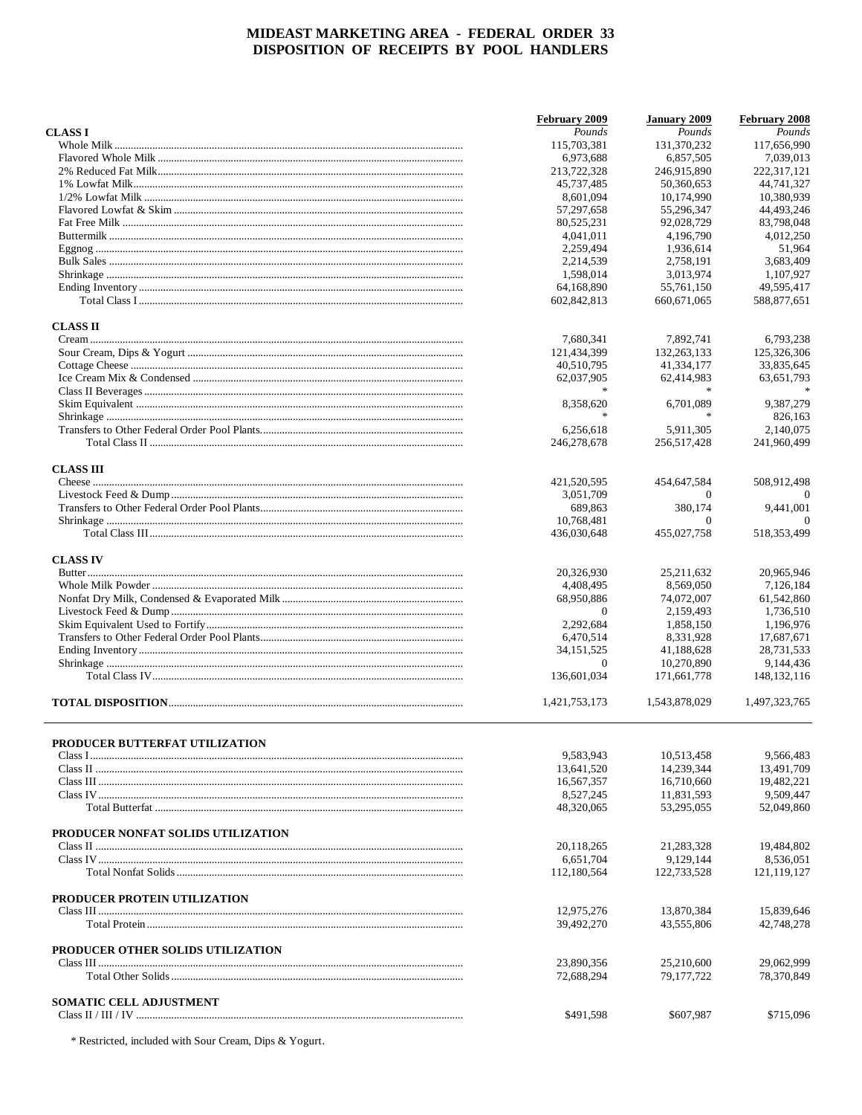|                                    | February 2009          | <b>January 2009</b>    | February 2008           |
|------------------------------------|------------------------|------------------------|-------------------------|
| <b>CLASSI</b>                      | Pounds                 | Pounds                 | Pounds                  |
|                                    | 115,703,381            | 131,370,232            | 117,656,990             |
|                                    | 6.973.688              | 6.857.505              | 7,039,013               |
|                                    | 213,722,328            | 246,915,890            | 222,317,121             |
|                                    | 45,737,485             | 50,360,653             | 44,741,327              |
|                                    | 8,601,094              | 10,174,990             | 10,380,939              |
|                                    | 57,297,658             | 55,296,347             | 44,493,246              |
|                                    | 80,525,231             | 92,028,729             | 83,798,048              |
|                                    | 4,041,011              | 4,196,790              | 4,012,250               |
|                                    | 2,259,494              | 1,936,614              | 51,964                  |
|                                    | 2,214,539              | 2,758,191              | 3,683,409               |
|                                    | 1,598,014              | 3,013,974              | 1,107,927               |
|                                    | 64,168,890             | 55,761,150             | 49.595.417              |
|                                    | 602,842,813            | 660,671,065            | 588,877,651             |
| <b>CLASS II</b>                    |                        |                        |                         |
|                                    | 7,680,341              | 7,892,741              | 6,793,238               |
|                                    | 121,434,399            | 132, 263, 133          | 125,326,306             |
|                                    | 40,510,795             | 41,334,177             | 33,835,645              |
|                                    | 62,037,905             | 62,414,983             | 63,651,793              |
|                                    |                        |                        |                         |
|                                    | 8,358,620              | 6,701,089              | 9,387,279               |
|                                    | $\frac{1}{2}$          |                        | 826,163                 |
|                                    | 6,256,618              | 5,911,305              | 2,140,075               |
|                                    | 246,278,678            | 256,517,428            | 241,960,499             |
| <b>CLASS III</b>                   |                        |                        |                         |
|                                    | 421,520,595            | 454,647,584            | 508,912,498             |
|                                    | 3,051,709              | $\Omega$               | $\theta$                |
|                                    | 689,863                | 380,174                | 9,441,001               |
|                                    | 10,768,481             | $\Omega$               | $\Omega$                |
|                                    | 436,030,648            | 455,027,758            | 518, 353, 499           |
|                                    |                        |                        |                         |
| <b>CLASS IV</b>                    | 20,326,930             | 25, 211, 632           | 20,965,946              |
|                                    | 4,408,495              | 8,569,050              | 7,126,184               |
|                                    | 68,950,886             | 74,072,007             | 61,542,860              |
|                                    | $\Omega$               | 2,159,493              | 1,736,510               |
|                                    |                        |                        |                         |
|                                    | 2,292,684<br>6,470,514 | 1,858,150<br>8,331,928 | 1,196,976<br>17,687,671 |
|                                    | 34, 151, 525           | 41,188,628             | 28,731,533              |
|                                    | $\overline{0}$         | 10.270.890             | 9,144,436               |
|                                    |                        |                        |                         |
|                                    | 136,601,034            | 171,661,778            | 148, 132, 116           |
|                                    | 1,421,753,173          | 1,543,878,029          | 1,497,323,765           |
|                                    |                        |                        |                         |
| PRODUCER BUTTERFAT UTILIZATION     | 9,583,943              | 10,513,458             | 9.566.483               |
|                                    | 13,641,520             | 14,239,344             | 13,491,709              |
|                                    | 16,567,357             | 16,710,660             | 19,482,221              |
|                                    | 8,527,245              | 11,831,593             | 9,509,447               |
|                                    | 48,320,065             | 53,295,055             | 52,049,860              |
|                                    |                        |                        |                         |
| PRODUCER NONFAT SOLIDS UTILIZATION |                        |                        |                         |
|                                    | 20,118,265             | 21,283,328             | 19,484,802              |
|                                    | 6,651,704              | 9,129,144              | 8,536,051               |
|                                    | 112,180,564            | 122,733,528            | 121,119,127             |
| PRODUCER PROTEIN UTILIZATION       |                        |                        |                         |
|                                    | 12,975,276             | 13,870,384             | 15,839,646              |
|                                    | 39,492,270             | 43,555,806             | 42,748,278              |
| PRODUCER OTHER SOLIDS UTILIZATION  |                        |                        |                         |
|                                    | 23,890,356             | 25,210,600             | 29,062,999              |
|                                    | 72,688,294             | 79,177,722             | 78,370,849              |
| SOMATIC CELL ADJUSTMENT            |                        |                        |                         |
|                                    | \$491,598              | \$607,987              | \$715,096               |
|                                    |                        |                        |                         |

\* Restricted, included with Sour Cream, Dips & Yogurt.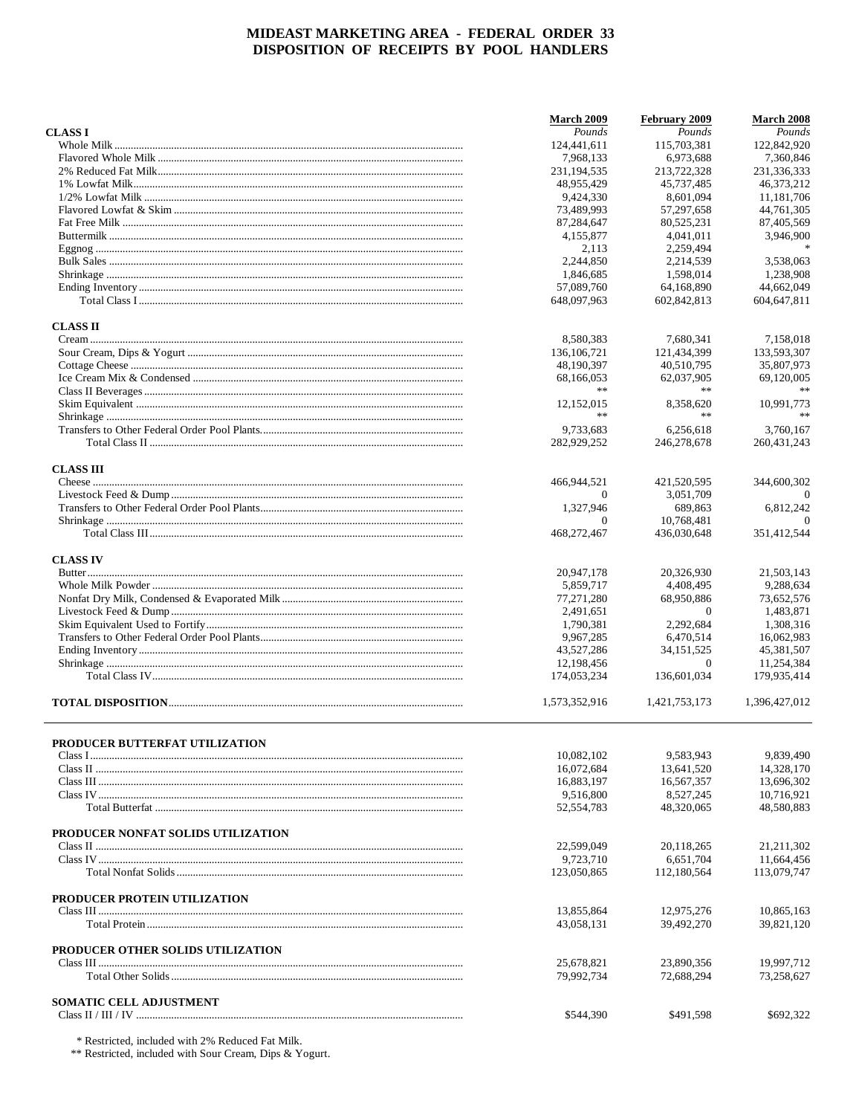|                                    | <b>March 2009</b>        | February 2009            | March 2008               |
|------------------------------------|--------------------------|--------------------------|--------------------------|
| <b>CLASSI</b>                      | Pounds                   | Pounds                   | Pounds                   |
|                                    | 124,441,611              | 115,703,381              | 122,842,920              |
|                                    | 7.968.133                | 6.973.688                | 7.360.846                |
|                                    | 231, 194, 535            | 213,722,328              | 231,336,333              |
|                                    | 48,955,429               | 45,737,485               | 46,373,212               |
|                                    | 9,424,330                | 8,601,094                | 11,181,706               |
|                                    | 73,489,993               | 57,297,658               | 44,761,305               |
|                                    | 87,284,647               | 80,525,231               | 87,405,569               |
|                                    | 4,155,877<br>2,113       | 4,041,011<br>2,259,494   | 3,946,900                |
|                                    | 2.244,850                | 2,214,539                | 3,538,063                |
|                                    | 1,846,685                | 1,598,014                | 1,238,908                |
|                                    | 57,089,760               | 64,168,890               | 44,662,049               |
|                                    | 648,097,963              | 602,842,813              | 604,647,811              |
| <b>CLASS II</b>                    |                          |                          |                          |
|                                    | 8,580,383                | 7,680,341                | 7,158,018                |
|                                    | 136, 106, 721            | 121,434,399              | 133,593,307              |
|                                    | 48,190,397               | 40,510,795               | 35,807,973               |
|                                    | 68,166,053               | 62,037,905               | 69.120.005               |
|                                    | $\ast$ $\ast$            | $\ast$ $\ast$            | **                       |
|                                    | 12,152,015<br>$\gg \gg$  | 8,358,620<br>$**$        | 10,991,773<br>$\pm\pm$   |
|                                    | 9,733,683                | 6,256,618                | 3,760,167                |
|                                    | 282,929,252              | 246,278,678              | 260.431.243              |
| <b>CLASS III</b>                   |                          |                          |                          |
|                                    | 466,944,521              | 421,520,595              | 344,600,302              |
|                                    | 0                        | 3,051,709                |                          |
|                                    | 1,327,946                | 689,863                  | 6,812,242                |
|                                    | 0                        | 10,768,481               | $\Omega$                 |
|                                    | 468,272,467              | 436,030,648              | 351,412,544              |
| <b>CLASS IV</b>                    |                          |                          |                          |
|                                    | 20,947,178               | 20,326,930               | 21,503,143               |
|                                    | 5,859,717                | 4,408,495                | 9,288,634                |
|                                    | 77,271,280               | 68,950,886               | 73,652,576               |
|                                    | 2,491,651                | $\theta$                 | 1,483,871                |
|                                    | 1,790,381                | 2,292,684                | 1,308,316                |
|                                    | 9,967,285                | 6,470,514                | 16,062,983               |
|                                    | 43,527,286               | 34, 151, 525             | 45,381,507               |
|                                    | 12,198,456               | $\Omega$                 | 11,254,384               |
|                                    | 174,053,234              | 136,601,034              | 179,935,414              |
|                                    | 1,573,352,916            | 1.421.753.173            | 1,396,427,012            |
|                                    |                          |                          |                          |
| PRODUCER BUTTERFAT UTILIZATION     |                          |                          |                          |
|                                    | 10,082,102               | 9,583,943                | 9,839,490                |
|                                    | 16,072,684               | 13,641,520               | 14,328,170               |
|                                    | 16,883,197               | 16,567,357               | 13,696,302               |
|                                    | 9,516,800                | 8,527,245                | 10,716,921               |
|                                    | 52, 554, 783             | 48,320,065               | 48,580,883               |
| PRODUCER NONFAT SOLIDS UTILIZATION |                          |                          |                          |
|                                    | 22,599,049               | 20,118,265               | 21, 211, 302             |
|                                    | 9,723,710                | 6,651,704                | 11,664,456               |
|                                    | 123,050,865              | 112,180,564              | 113,079,747              |
| PRODUCER PROTEIN UTILIZATION       |                          |                          |                          |
|                                    | 13,855,864               | 12,975,276               | 10,865,163               |
|                                    | 43,058,131               | 39,492,270               | 39,821,120               |
| PRODUCER OTHER SOLIDS UTILIZATION  |                          |                          |                          |
|                                    | 25,678,821<br>79,992,734 | 23,890,356<br>72,688,294 | 19,997,712<br>73,258,627 |
|                                    |                          |                          |                          |
| SOMATIC CELL ADJUSTMENT            | \$544,390                | \$491,598                | \$692,322                |
|                                    |                          |                          |                          |

\* Restricted, included with 2% Reduced Fat Milk.

\*\* Restricted, included with Sour Cream, Dips & Yogurt.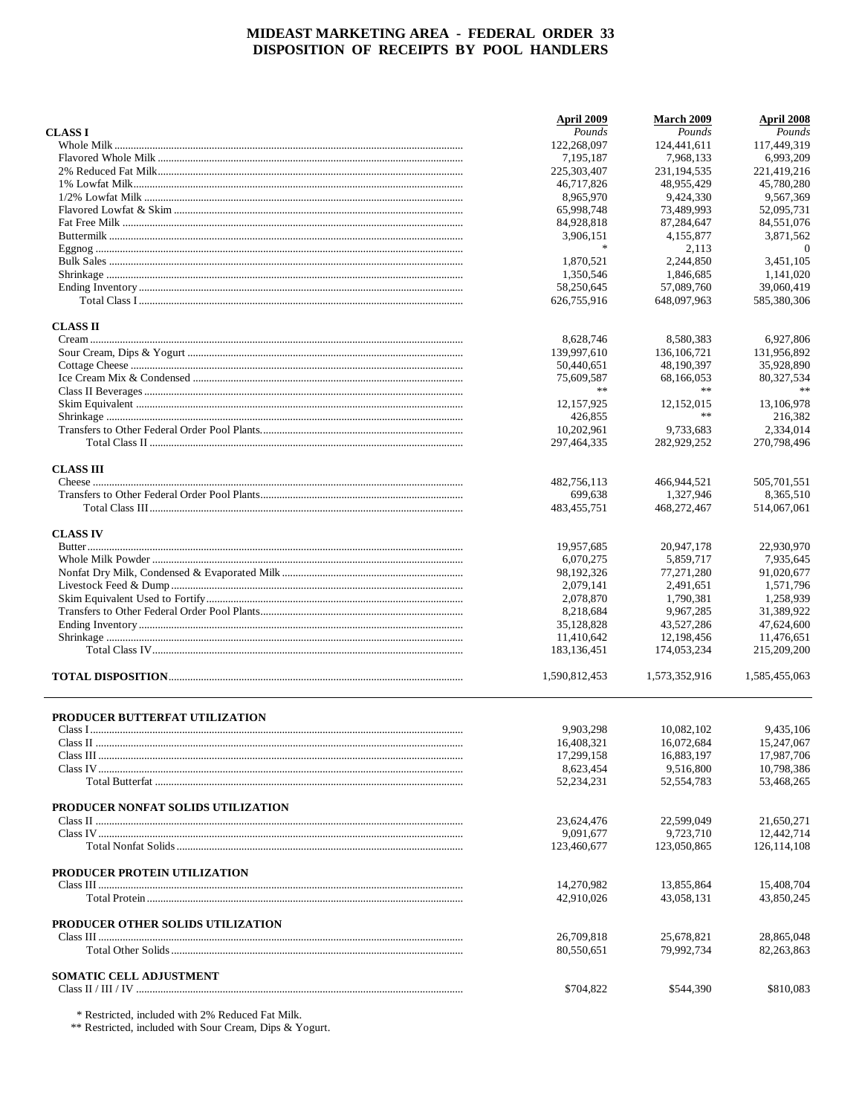|                                    | April 2009    | <b>March 2009</b> | April 2008     |
|------------------------------------|---------------|-------------------|----------------|
| <b>CLASS I</b>                     | Pounds        | Pounds            | Pounds         |
|                                    | 122,268,097   | 124,441,611       | 117,449,319    |
|                                    | 7,195,187     | 7,968,133         | 6,993,209      |
|                                    | 225,303,407   | 231, 194, 535     | 221,419,216    |
|                                    | 46,717,826    | 48,955,429        | 45,780,280     |
|                                    | 8.965.970     | 9.424.330         | 9.567.369      |
|                                    | 65,998,748    | 73,489,993        | 52,095,731     |
|                                    |               |                   |                |
|                                    | 84,928,818    | 87,284,647        | 84,551,076     |
|                                    | 3,906,151     | 4,155,877         | 3,871,562      |
|                                    | $\ast$        | 2,113             | $\overline{0}$ |
|                                    | 1,870,521     | 2,244,850         | 3,451,105      |
|                                    | 1,350,546     | 1,846,685         | 1,141,020      |
|                                    | 58,250,645    | 57,089,760        | 39.060.419     |
|                                    | 626,755,916   | 648,097,963       | 585,380,306    |
| <b>CLASS II</b>                    |               |                   |                |
|                                    | 8,628,746     | 8,580,383         | 6,927,806      |
|                                    | 139,997,610   | 136, 106, 721     | 131,956,892    |
|                                    | 50,440,651    | 48,190,397        | 35,928,890     |
|                                    |               |                   |                |
|                                    | 75,609,587    | 68,166,053        | 80,327,534     |
|                                    | $\gg \gg$     | $\ast$ $\ast$     | $\gg \gg$      |
|                                    | 12,157,925    | 12,152,015        | 13,106,978     |
|                                    | 426,855       | $\ast$ $\ast$     | 216,382        |
|                                    | 10,202,961    | 9.733.683         | 2,334,014      |
|                                    | 297,464,335   | 282,929,252       | 270,798,496    |
| <b>CLASS III</b>                   |               |                   |                |
|                                    | 482,756,113   | 466,944,521       | 505,701,551    |
|                                    | 699,638       | 1,327,946         | 8.365.510      |
|                                    | 483, 455, 751 | 468,272,467       | 514,067,061    |
| <b>CLASS IV</b>                    |               |                   |                |
|                                    | 19,957,685    | 20,947,178        | 22,930,970     |
|                                    | 6,070,275     | 5,859,717         | 7,935,645      |
|                                    | 98,192,326    | 77,271,280        | 91,020,677     |
|                                    |               |                   |                |
|                                    | 2,079,141     | 2,491,651         | 1,571,796      |
|                                    | 2,078,870     | 1,790,381         | 1,258,939      |
|                                    | 8,218,684     | 9,967,285         | 31,389,922     |
|                                    | 35,128,828    | 43,527,286        | 47,624,600     |
|                                    | 11,410,642    | 12,198,456        | 11,476,651     |
|                                    | 183, 136, 451 | 174,053,234       | 215,209,200    |
|                                    | 1,590,812,453 | 1,573,352,916     | 1,585,455,063  |
|                                    |               |                   |                |
| PRODUCER BUTTERFAT UTILIZATION     |               |                   |                |
|                                    | 9,903,298     | 10,082,102        | 9,435,106      |
| Class II                           | 16,408,321    | 16,072,684        | 15,247,067     |
|                                    | 17,299,158    | 16.883.197        | 17,987,706     |
|                                    | 8,623,454     | 9.516.800         | 10,798,386     |
|                                    | 52,234,231    | 52, 554, 783      | 53,468,265     |
| PRODUCER NONFAT SOLIDS UTILIZATION |               |                   |                |
|                                    | 23.624.476    | 22,599,049        | 21,650,271     |
|                                    | 9,091,677     | 9,723,710         | 12,442,714     |
|                                    | 123,460,677   | 123,050,865       | 126, 114, 108  |
| PRODUCER PROTEIN UTILIZATION       |               |                   |                |
|                                    | 14,270,982    | 13,855,864        | 15,408,704     |
|                                    | 42,910,026    | 43,058,131        | 43,850,245     |
| PRODUCER OTHER SOLIDS UTILIZATION  |               |                   |                |
|                                    | 26,709,818    | 25,678,821        | 28,865,048     |
|                                    | 80,550,651    | 79,992,734        | 82,263,863     |
|                                    |               |                   |                |
| SOMATIC CELL ADJUSTMENT            | \$704,822     | \$544,390         | \$810,083      |
|                                    |               |                   |                |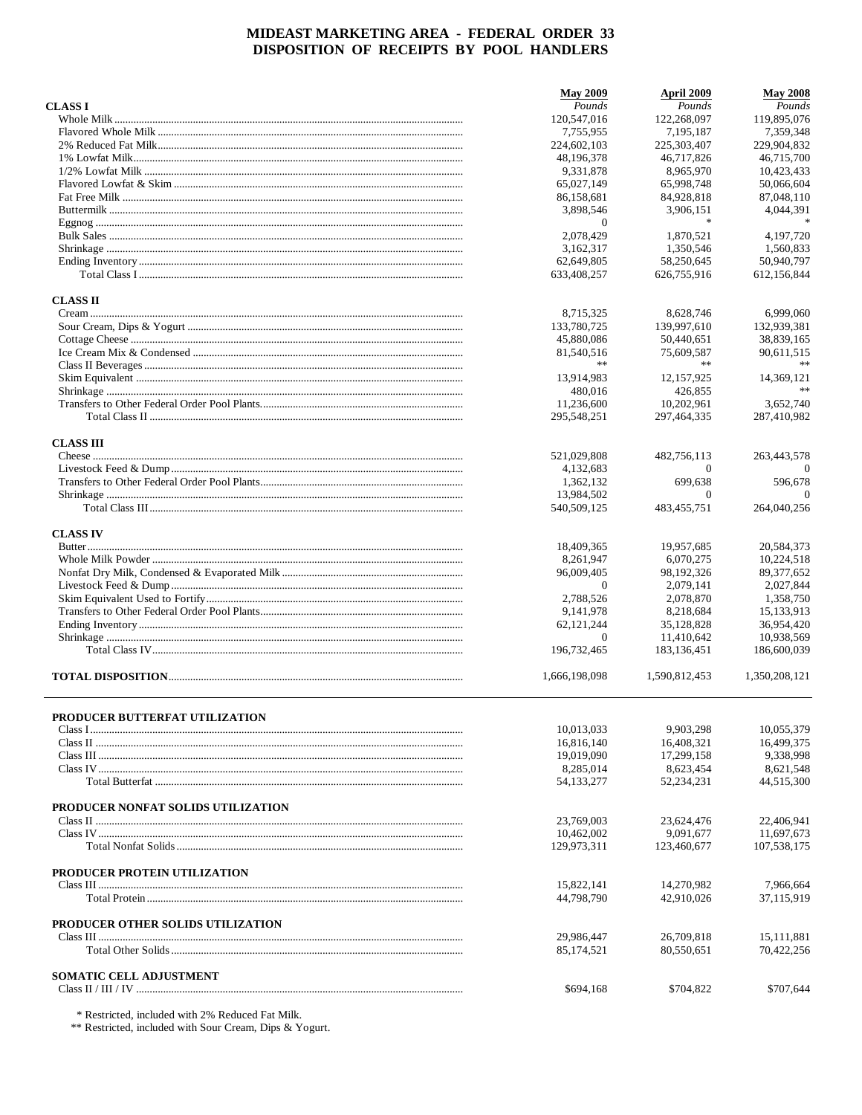|                                       | <b>May 2009</b> | April 2009    | <b>May 2008</b> |
|---------------------------------------|-----------------|---------------|-----------------|
| <b>CLASS I</b>                        | Pounds          | Pounds        | Pounds          |
|                                       | 120,547,016     | 122,268,097   | 119,895,076     |
|                                       | 7,755,955       | 7.195.187     | 7,359,348       |
|                                       | 224,602,103     | 225,303,407   | 229,904,832     |
|                                       | 48,196,378      | 46.717.826    | 46,715,700      |
|                                       | 9,331,878       | 8,965,970     | 10.423.433      |
|                                       | 65,027,149      | 65,998,748    | 50,066,604      |
|                                       | 86,158,681      | 84,928,818    | 87,048,110      |
|                                       | 3,898,546       | 3,906,151     | 4,044,391       |
|                                       | $\overline{0}$  | $\ast$        |                 |
|                                       | 2,078,429       | 1.870.521     | 4,197,720       |
|                                       | 3,162,317       | 1.350.546     | 1,560,833       |
|                                       | 62,649,805      | 58,250,645    | 50,940,797      |
|                                       | 633,408,257     | 626,755,916   | 612,156,844     |
| <b>CLASS II</b>                       |                 |               |                 |
|                                       | 8,715,325       | 8,628,746     | 6,999,060       |
|                                       | 133,780,725     | 139,997,610   | 132,939,381     |
|                                       | 45,880,086      | 50,440,651    | 38,839,165      |
|                                       | 81,540,516      | 75,609,587    | 90,611,515      |
|                                       | **              | **            |                 |
|                                       | 13,914,983      | 12,157,925    | 14,369,121      |
|                                       | 480,016         | 426,855       |                 |
|                                       | 11,236,600      | 10.202.961    | 3,652,740       |
|                                       | 295,548,251     | 297,464,335   | 287,410,982     |
| <b>CLASS III</b>                      |                 |               |                 |
|                                       | 521,029,808     | 482,756,113   | 263,443,578     |
|                                       | 4.132.683       | $\theta$      | $\Omega$        |
|                                       | 1,362,132       | 699.638       | 596.678         |
|                                       | 13,984,502      | $\Omega$      | $\Omega$        |
|                                       | 540,509,125     | 483, 455, 751 | 264,040,256     |
| <b>CLASS IV</b>                       |                 |               |                 |
|                                       | 18,409,365      | 19,957,685    | 20,584,373      |
|                                       | 8,261,947       | 6,070,275     | 10,224,518      |
|                                       | 96,009,405      | 98,192,326    | 89, 377, 652    |
|                                       | $\overline{0}$  | 2,079,141     | 2,027,844       |
|                                       | 2,788,526       | 2,078,870     | 1,358,750       |
|                                       | 9,141,978       | 8,218,684     | 15,133,913      |
|                                       | 62,121,244      | 35,128,828    | 36,954,420      |
|                                       | 0               | 11,410,642    | 10,938,569      |
|                                       | 196,732,465     | 183, 136, 451 | 186,600,039     |
|                                       |                 |               |                 |
|                                       | 1,666,198,098   | 1,590,812,453 | 1,350,208,121   |
|                                       |                 |               |                 |
| <b>PRODUCER BUTTERFAT UTILIZATION</b> | 10,013,033      | 9.903.298     | 10,055,379      |
|                                       | 16,816,140      | 16,408,321    | 16,499,375      |
|                                       | 19,019,090      | 17.299.158    | 9,338,998       |
|                                       | 8,285,014       | 8,623,454     | 8,621,548       |
|                                       | 54,133,277      | 52,234,231    | 44,515,300      |
|                                       |                 |               |                 |
| PRODUCER NONFAT SOLIDS UTILIZATION    |                 |               |                 |
|                                       | 23,769,003      | 23,624,476    | 22,406,941      |
|                                       | 10,462,002      | 9,091,677     | 11,697,673      |
|                                       | 129,973,311     | 123,460,677   | 107,538,175     |
| PRODUCER PROTEIN UTILIZATION          |                 |               |                 |
|                                       | 15,822,141      | 14,270,982    | 7,966,664       |
|                                       | 44,798,790      | 42,910,026    | 37,115,919      |
| PRODUCER OTHER SOLIDS UTILIZATION     |                 |               |                 |
|                                       | 29,986,447      | 26,709,818    | 15, 111, 881    |
|                                       | 85,174,521      | 80,550,651    | 70,422,256      |
| <b>SOMATIC CELL ADJUSTMENT</b>        |                 |               |                 |
|                                       | \$694,168       | \$704,822     | \$707,644       |
|                                       |                 |               |                 |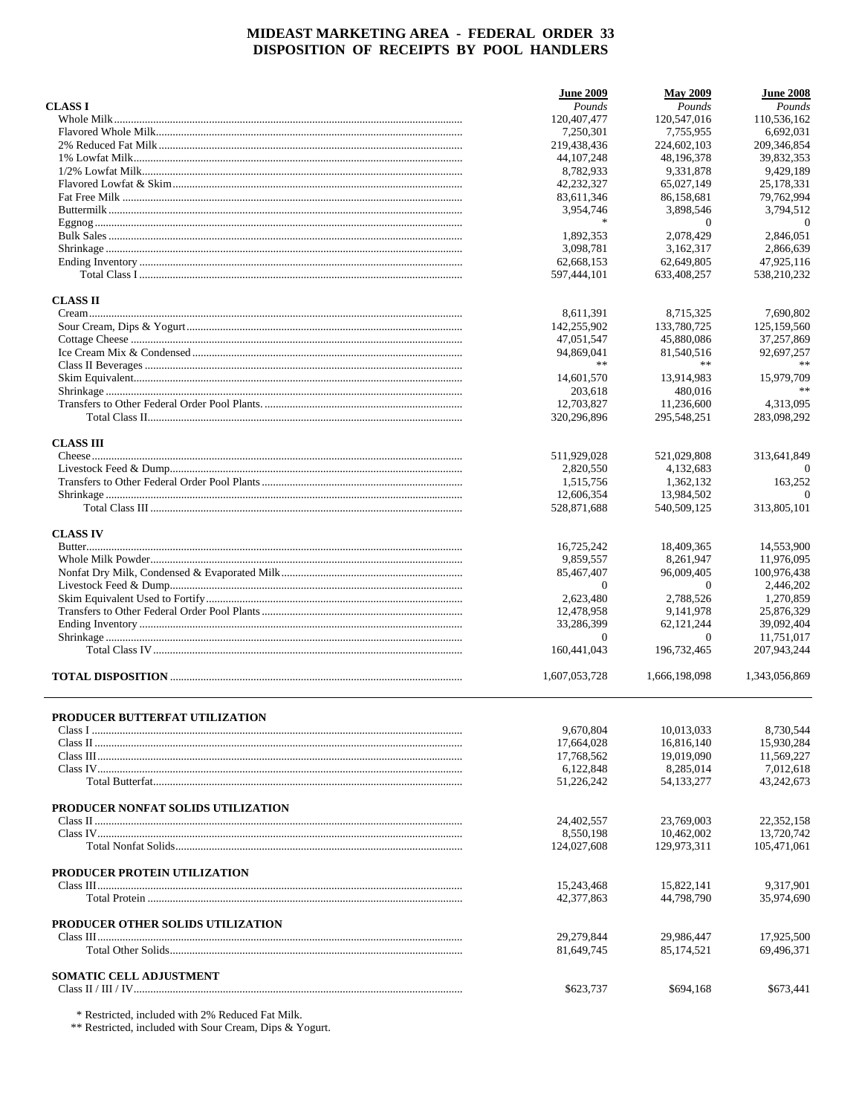|                                    | <b>June 2009</b>        | <b>May 2009</b> | <b>June 2008</b>         |
|------------------------------------|-------------------------|-----------------|--------------------------|
| <b>CLASS I</b>                     | Pounds                  | Pounds          | Pounds                   |
|                                    | 120,407,477             | 120,547,016     | 110,536,162              |
|                                    | 7,250,301               | 7,755,955       | 6,692,031                |
|                                    | 219,438,436             | 224,602,103     | 209,346,854              |
|                                    | 44, 107, 248            | 48,196,378      | 39,832,353               |
|                                    | 8,782,933               | 9,331,878       | 9,429,189                |
|                                    | 42.232.327              | 65,027,149      | 25,178,331               |
|                                    | 83,611,346              | 86,158,681      | 79,762,994               |
|                                    | 3,954,746               | 3,898,546       | 3,794,512                |
|                                    | $\ast$                  | $\theta$        | $\theta$                 |
|                                    | 1,892,353               | 2.078.429       | 2,846,051                |
|                                    | 3,098,781               | 3,162,317       | 2,866,639                |
|                                    | 62,668,153              | 62,649,805      | 47,925,116               |
|                                    | 597,444,101             | 633,408,257     | 538,210,232              |
| <b>CLASS II</b>                    |                         |                 |                          |
|                                    | 8,611,391               | 8,715,325       | 7,690,802                |
|                                    | 142,255,902             | 133,780,725     | 125,159,560              |
|                                    | 47,051,547              | 45,880,086      | 37,257,869               |
|                                    | 94,869,041              | 81,540,516      | 92,697,257               |
|                                    | **                      | **              |                          |
|                                    | 14,601,570              | 13,914,983      | 15,979,709               |
|                                    | 203,618                 | 480,016         |                          |
|                                    | 12,703,827              | 11,236,600      |                          |
|                                    | 320,296,896             | 295,548,251     | 4,313,095<br>283,098,292 |
|                                    |                         |                 |                          |
| <b>CLASS III</b>                   |                         |                 |                          |
|                                    | 511,929,028             | 521,029,808     | 313,641,849              |
|                                    | 2.820.550               | 4.132.683       | $\Omega$                 |
|                                    | 1,515,756               | 1,362,132       | 163,252                  |
|                                    | 12,606,354              | 13,984,502      | $\Omega$                 |
|                                    | 528,871,688             | 540,509,125     | 313,805,101              |
| <b>CLASS IV</b>                    |                         |                 |                          |
|                                    | 16,725,242              | 18,409,365      | 14,553,900               |
|                                    | 9,859,557               | 8,261,947       | 11,976,095               |
|                                    | 85,467,407              | 96,009,405      | 100,976,438              |
|                                    | $\Omega$                | $\theta$        | 2,446,202                |
|                                    | 2,623,480               | 2,788,526       | 1,270,859                |
|                                    | 12,478,958              | 9,141,978       | 25,876,329               |
|                                    | 33,286,399              | 62, 121, 244    | 39,092,404               |
|                                    | $\theta$                | $\theta$        | 11,751,017               |
|                                    | 160,441,043             | 196,732,465     | 207,943,244              |
|                                    |                         |                 |                          |
|                                    | 1,607,053,728           | 1,666,198,098   | 1,343,056,869            |
|                                    |                         |                 |                          |
| PRODUCER BUTTERFAT UTILIZATION     |                         |                 |                          |
|                                    | 9,670,804<br>17,664,028 | 10,013,033      | 8,730,544<br>15,930,284  |
|                                    |                         | 16,816,140      |                          |
|                                    | 17,768,562              | 19,019,090      | 11,569,227               |
|                                    | 6,122,848               | 8,285,014       | 7,012,618                |
|                                    | 51,226,242              | 54, 133, 277    | 43.242.673               |
| PRODUCER NONFAT SOLIDS UTILIZATION |                         |                 |                          |
|                                    | 24,402,557              | 23,769,003      | 22,352,158               |
|                                    | 8,550,198               | 10,462,002      | 13,720,742               |
|                                    | 124,027,608             | 129,973,311     | 105,471,061              |
| PRODUCER PROTEIN UTILIZATION       |                         |                 |                          |
|                                    | 15,243,468              | 15,822,141      | 9,317,901                |
|                                    | 42,377,863              | 44,798,790      | 35,974,690               |
| PRODUCER OTHER SOLIDS UTILIZATION  |                         |                 |                          |
|                                    | 29,279,844              | 29,986,447      | 17,925,500               |
|                                    | 81,649,745              | 85,174,521      | 69,496,371               |
|                                    |                         |                 |                          |
| <b>SOMATIC CELL ADJUSTMENT</b>     | \$623,737               | \$694,168       | \$673,441                |
|                                    |                         |                 |                          |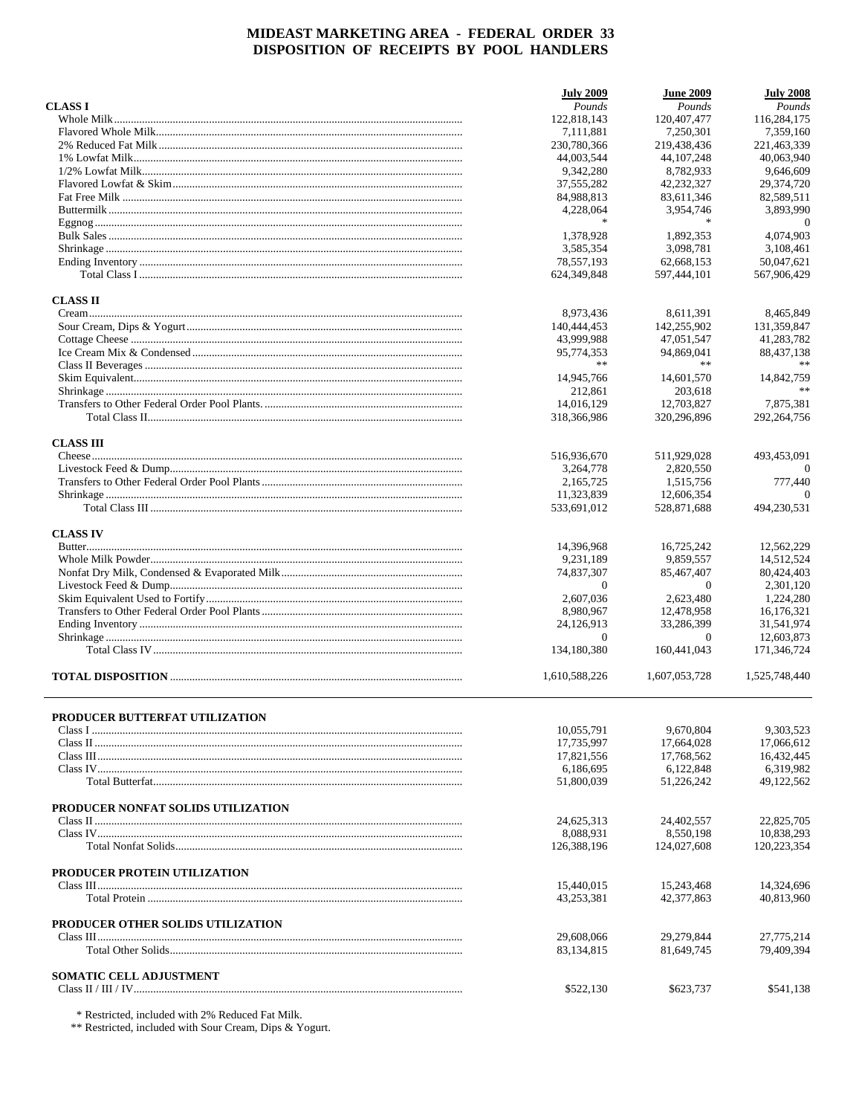|                                    | <b>July 2009</b> | <b>June 2009</b> | <b>July 2008</b> |
|------------------------------------|------------------|------------------|------------------|
| <b>CLASS I</b>                     | Pounds           | Pounds           | Pounds           |
|                                    | 122,818,143      | 120,407,477      | 116,284,175      |
|                                    | 7,111,881        | 7,250,301        | 7,359,160        |
|                                    | 230,780,366      | 219,438,436      | 221,463,339      |
|                                    | 44,003,544       | 44, 107, 248     | 40,063,940       |
|                                    | 9,342,280        | 8,782,933        | 9,646,609        |
|                                    | 37.555.282       | 42,232,327       | 29,374,720       |
|                                    | 84,988,813       | 83,611,346       | 82,589,511       |
|                                    | 4,228,064        | 3,954,746        | 3,893,990        |
|                                    | $\ast$           | $\ast$           | $\theta$         |
|                                    | 1,378,928        | 1,892,353        | 4,074,903        |
|                                    | 3,585,354        | 3.098.781        | 3,108,461        |
|                                    | 78,557,193       | 62,668,153       | 50,047,621       |
|                                    | 624, 349, 848    | 597,444,101      | 567,906,429      |
| <b>CLASS II</b>                    |                  |                  |                  |
|                                    | 8,973,436        | 8,611,391        | 8,465,849        |
|                                    | 140,444,453      | 142,255,902      | 131,359,847      |
|                                    | 43,999,988       | 47,051,547       | 41,283,782       |
|                                    | 95,774,353       | 94,869,041       | 88,437,138       |
|                                    |                  | **               |                  |
|                                    | 14,945,766       | 14,601,570       | 14,842,759       |
|                                    | 212,861          | 203,618          |                  |
|                                    | 14.016.129       | 12,703,827       | 7,875,381        |
|                                    | 318,366,986      | 320,296,896      | 292.264.756      |
|                                    |                  |                  |                  |
| <b>CLASS III</b>                   |                  |                  |                  |
|                                    | 516,936,670      | 511,929,028      | 493,453,091      |
|                                    | 3.264.778        | 2,820,550        | $\Omega$         |
|                                    | 2,165,725        | 1,515,756        | 777,440          |
|                                    | 11,323,839       | 12,606,354       | $\Omega$         |
|                                    | 533,691,012      | 528,871,688      | 494,230,531      |
| <b>CLASS IV</b>                    |                  |                  |                  |
|                                    | 14,396,968       | 16,725,242       | 12,562,229       |
|                                    | 9,231,189        | 9,859,557        | 14,512,524       |
|                                    | 74,837,307       | 85,467,407       | 80,424,403       |
|                                    | $\Omega$         | $\Omega$         | 2,301,120        |
|                                    | 2,607,036        | 2,623,480        | 1,224,280        |
|                                    | 8,980,967        | 12,478,958       | 16,176,321       |
|                                    | 24,126,913       | 33,286,399       | 31,541,974       |
|                                    | $\theta$         | $\theta$         | 12,603,873       |
|                                    | 134,180,380      | 160,441,043      | 171,346,724      |
|                                    | 1,610,588,226    | 1.607.053.728    | 1.525.748.440    |
|                                    |                  |                  |                  |
| PRODUCER BUTTERFAT UTILIZATION     |                  |                  |                  |
|                                    | 10,055,791       | 9,670,804        | 9,303,523        |
|                                    | 17,735,997       | 17,664,028       | 17,066,612       |
|                                    | 17,821,556       | 17,768,562       | 16,432,445       |
|                                    | 6,186,695        | 6,122,848        | 6,319,982        |
|                                    | 51,800,039       | 51.226.242       | 49,122,562       |
|                                    |                  |                  |                  |
| PRODUCER NONFAT SOLIDS UTILIZATION |                  |                  |                  |
|                                    | 24,625,313       | 24,402,557       | 22,825,705       |
|                                    | 8,088,931        | 8,550,198        | 10,838,293       |
|                                    | 126,388,196      | 124,027,608      | 120,223,354      |
| PRODUCER PROTEIN UTILIZATION       |                  |                  |                  |
|                                    | 15,440,015       | 15,243,468       | 14,324,696       |
|                                    | 43,253,381       | 42,377,863       | 40,813,960       |
| PRODUCER OTHER SOLIDS UTILIZATION  |                  |                  |                  |
|                                    | 29,608,066       | 29,279,844       | 27,775,214       |
|                                    | 83,134,815       | 81,649,745       | 79,409,394       |
| <b>SOMATIC CELL ADJUSTMENT</b>     |                  |                  |                  |
|                                    | \$522,130        | \$623,737        | \$541,138        |
|                                    |                  |                  |                  |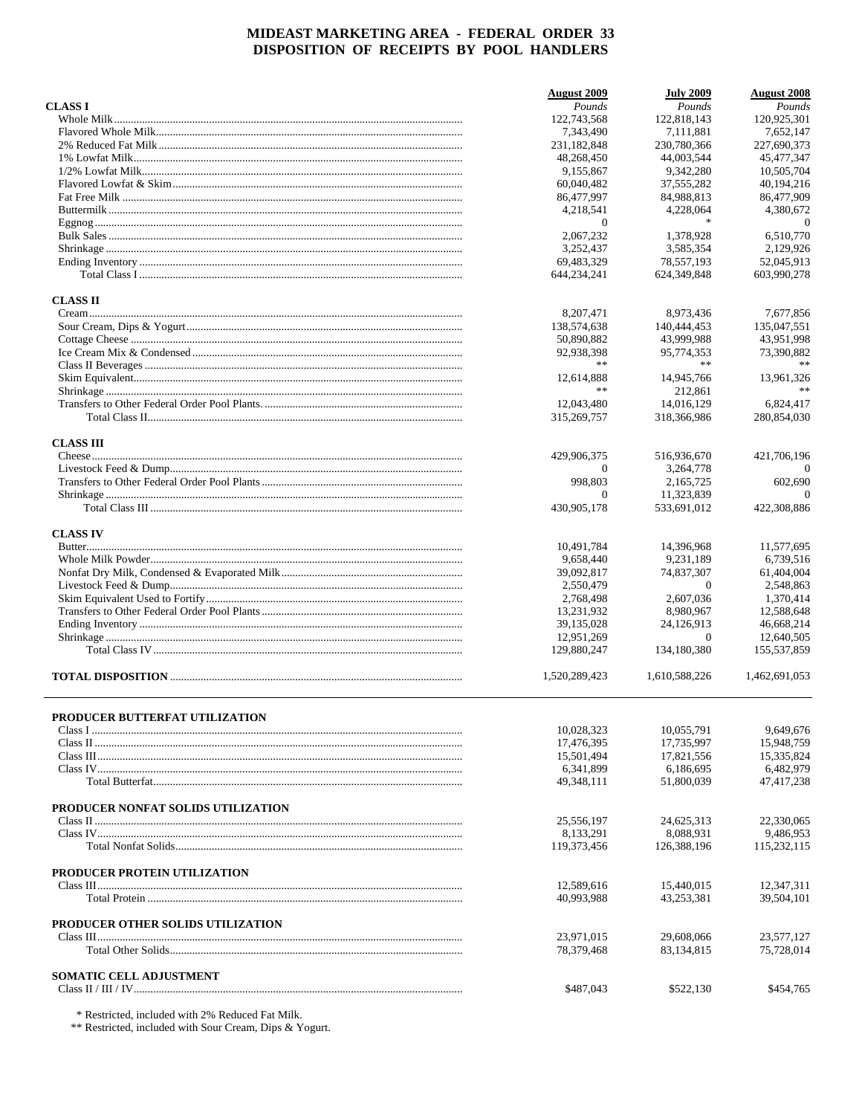|                                    | <b>August 2009</b> | <b>July 2009</b> | <b>August</b> 2008 |
|------------------------------------|--------------------|------------------|--------------------|
| <b>CLASS I</b>                     | Pounds             | Pounds           | Pounds             |
|                                    | 122,743,568        | 122,818,143      | 120,925,301        |
|                                    | 7,343,490          | 7,111,881        | 7,652,147          |
|                                    | 231,182,848        | 230,780,366      | 227,690,373        |
|                                    | 48,268,450         | 44,003,544       | 45,477,347         |
|                                    | 9,155,867          | 9,342,280        | 10,505,704         |
|                                    | 60,040,482         | 37,555,282       | 40,194,216         |
|                                    | 86,477,997         | 84,988,813       | 86,477,909         |
|                                    | 4,218,541          | 4,228,064        | 4,380,672          |
|                                    | $\theta$           | $\ast$           | $\overline{0}$     |
|                                    | 2,067,232          | 1,378,928        | 6,510,770          |
|                                    | 3,252,437          | 3,585,354        | 2.129.926          |
|                                    | 69,483,329         | 78,557,193       | 52,045,913         |
|                                    | 644,234,241        | 624,349,848      | 603,990,278        |
| <b>CLASS II</b>                    |                    |                  |                    |
|                                    | 8,207,471          | 8,973,436        | 7,677,856          |
|                                    | 138,574,638        | 140,444,453      | 135,047,551        |
|                                    | 50,890,882         | 43,999,988       | 43,951,998         |
|                                    | 92,938,398         | 95,774,353       | 73,390,882         |
|                                    | **                 | **               |                    |
|                                    | 12.614.888         | 14,945,766       | 13,961,326         |
|                                    | **                 | 212.861          | **                 |
|                                    | 12,043,480         | 14.016.129       | 6,824,417          |
|                                    | 315,269,757        | 318,366,986      | 280,854,030        |
| <b>CLASS III</b>                   |                    |                  |                    |
|                                    | 429,906,375        | 516,936,670      | 421,706,196        |
|                                    | $\Omega$           | 3,264,778        | $\Omega$           |
|                                    | 998,803            | 2,165,725        | 602,690            |
|                                    | $\overline{0}$     | 11,323,839       | $\Omega$           |
|                                    | 430,905,178        | 533,691,012      | 422,308,886        |
| <b>CLASS IV</b>                    |                    |                  |                    |
|                                    | 10,491,784         | 14,396,968       | 11,577,695         |
|                                    | 9,658,440          | 9,231,189        | 6,739,516          |
|                                    | 39,092,817         | 74,837,307       | 61,404,004         |
|                                    | 2,550,479          | $\theta$         | 2,548,863          |
|                                    | 2,768,498          | 2,607,036        | 1,370,414          |
|                                    | 13,231,932         | 8,980,967        | 12,588,648         |
|                                    | 39,135,028         | 24,126,913       | 46,668,214         |
|                                    | 12,951,269         | $\mathbf{0}$     | 12,640,505         |
|                                    | 129,880,247        | 134,180,380      | 155,537,859        |
|                                    | 1,520,289,423      | 1,610,588,226    | 1,462,691,053      |
|                                    |                    |                  |                    |
| PRODUCER BUTTERFAT UTILIZATION     |                    |                  |                    |
|                                    | 10,028,323         | 10,055,791       | 9,649,676          |
|                                    | 17,476,395         | 17,735,997       | 15,948,759         |
|                                    | 15,501,494         | 17,821,556       | 15,335,824         |
|                                    | 6,341,899          | 6,186,695        | 6,482,979          |
|                                    | 49,348,111         | 51,800,039       | 47,417,238         |
| PRODUCER NONFAT SOLIDS UTILIZATION |                    |                  |                    |
|                                    | 25,556,197         | 24,625,313       | 22,330,065         |
|                                    | 8,133,291          | 8,088,931        | 9,486,953          |
|                                    | 119,373,456        | 126,388,196      | 115,232,115        |
|                                    |                    |                  |                    |
| PRODUCER PROTEIN UTILIZATION       |                    |                  |                    |
|                                    | 12,589,616         | 15,440,015       | 12,347,311         |
|                                    | 40,993,988         | 43,253,381       | 39,504,101         |
| PRODUCER OTHER SOLIDS UTILIZATION  |                    |                  |                    |
|                                    | 23,971,015         | 29,608,066       | 23,577,127         |
|                                    | 78,379,468         | 83,134,815       | 75,728,014         |
| <b>SOMATIC CELL ADJUSTMENT</b>     |                    |                  |                    |
|                                    | \$487,043          | \$522,130        | \$454,765          |
|                                    |                    |                  |                    |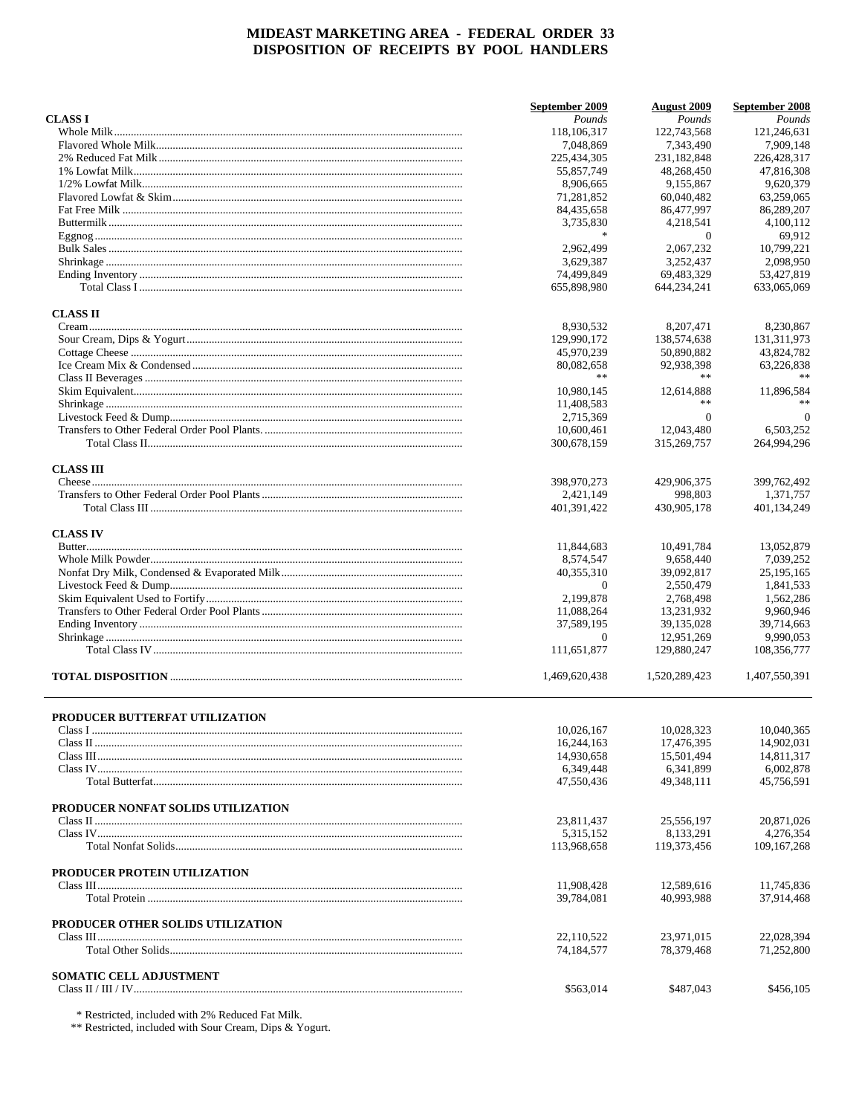|                                           | September 2009 | <b>August</b> 2009 | September 2008 |
|-------------------------------------------|----------------|--------------------|----------------|
| <b>CLASS I</b>                            | Pounds         | Pounds             | Pounds         |
|                                           | 118,106,317    | 122,743,568        | 121,246,631    |
|                                           | 7,048,869      | 7,343,490          | 7.909.148      |
|                                           | 225,434,305    | 231,182,848        | 226,428,317    |
|                                           | 55,857,749     | 48.268.450         | 47,816,308     |
|                                           | 8,906,665      | 9,155,867          | 9,620,379      |
|                                           | 71,281,852     | 60,040,482         | 63,259,065     |
|                                           | 84,435,658     | 86,477,997         | 86,289,207     |
|                                           | 3,735,830      | 4,218,541          | 4,100,112      |
|                                           | $\ast$         | $\mathbf{0}$       | 69,912         |
|                                           | 2,962,499      | 2,067,232          | 10,799,221     |
|                                           | 3,629,387      | 3,252,437          | 2,098,950      |
|                                           | 74,499,849     | 69,483,329         | 53,427,819     |
|                                           | 655,898,980    | 644,234,241        | 633,065,069    |
| <b>CLASS II</b>                           |                |                    |                |
|                                           | 8,930,532      | 8,207,471          | 8,230,867      |
|                                           | 129,990,172    | 138,574,638        | 131,311,973    |
|                                           | 45,970,239     | 50,890,882         | 43,824,782     |
|                                           | 80,082,658     | 92,938,398         | 63,226,838     |
|                                           | $\ast$ $\ast$  | **                 | 水水             |
|                                           | 10,980,145     | 12,614,888         | 11.896.584     |
|                                           |                | **                 |                |
|                                           | 11,408,583     | $\mathbf{0}$       | $\overline{0}$ |
|                                           | 2,715,369      |                    |                |
|                                           | 10,600,461     | 12,043,480         | 6.503.252      |
|                                           | 300,678,159    | 315,269,757        | 264,994,296    |
| <b>CLASS III</b>                          |                |                    |                |
|                                           | 398,970,273    | 429,906,375        | 399,762,492    |
|                                           | 2,421,149      | 998,803            | 1,371,757      |
|                                           | 401,391,422    | 430,905,178        | 401,134,249    |
| <b>CLASS IV</b>                           |                |                    |                |
|                                           | 11,844,683     | 10,491,784         | 13,052,879     |
|                                           | 8,574,547      | 9,658,440          | 7,039,252      |
|                                           | 40,355,310     | 39,092,817         | 25, 195, 165   |
|                                           | $\theta$       | 2,550,479          | 1,841,533      |
|                                           | 2,199,878      | 2,768,498          | 1,562,286      |
|                                           | 11,088,264     | 13,231,932         | 9,960,946      |
|                                           | 37,589,195     | 39,135,028         | 39,714,663     |
|                                           | $\theta$       | 12,951,269         | 9,990,053      |
|                                           | 111,651,877    | 129,880,247        | 108,356,777    |
|                                           | 1,469,620,438  | 1,520,289,423      | 1,407,550,391  |
|                                           |                |                    |                |
| PRODUCER BUTTERFAT UTILIZATION<br>Class I |                |                    | 10,040,365     |
|                                           | 10,026,167     | 10,028,323         |                |
|                                           | 16,244,163     | 17,476,395         | 14,902,031     |
|                                           | 14,930,658     | 15,501,494         | 14,811,317     |
|                                           | 6,349,448      | 6,341,899          | 6,002,878      |
|                                           | 47,550,436     | 49,348,111         | 45,756,591     |
| PRODUCER NONFAT SOLIDS UTILIZATION        |                |                    |                |
|                                           | 23,811,437     | 25,556,197         | 20,871,026     |
|                                           | 5,315,152      | 8,133,291          | 4,276,354      |
|                                           | 113,968,658    | 119,373,456        | 109, 167, 268  |
|                                           |                |                    |                |
| PRODUCER PROTEIN UTILIZATION              | 11,908,428     | 12,589,616         | 11,745,836     |
|                                           | 39.784.081     | 40,993,988         | 37,914,468     |
| PRODUCER OTHER SOLIDS UTILIZATION         |                |                    |                |
|                                           | 22,110,522     | 23,971,015         | 22,028,394     |
|                                           | 74,184,577     | 78,379,468         | 71,252,800     |
| <b>SOMATIC CELL ADJUSTMENT</b>            |                |                    |                |
|                                           | \$563,014      | \$487,043          | \$456,105      |
|                                           |                |                    |                |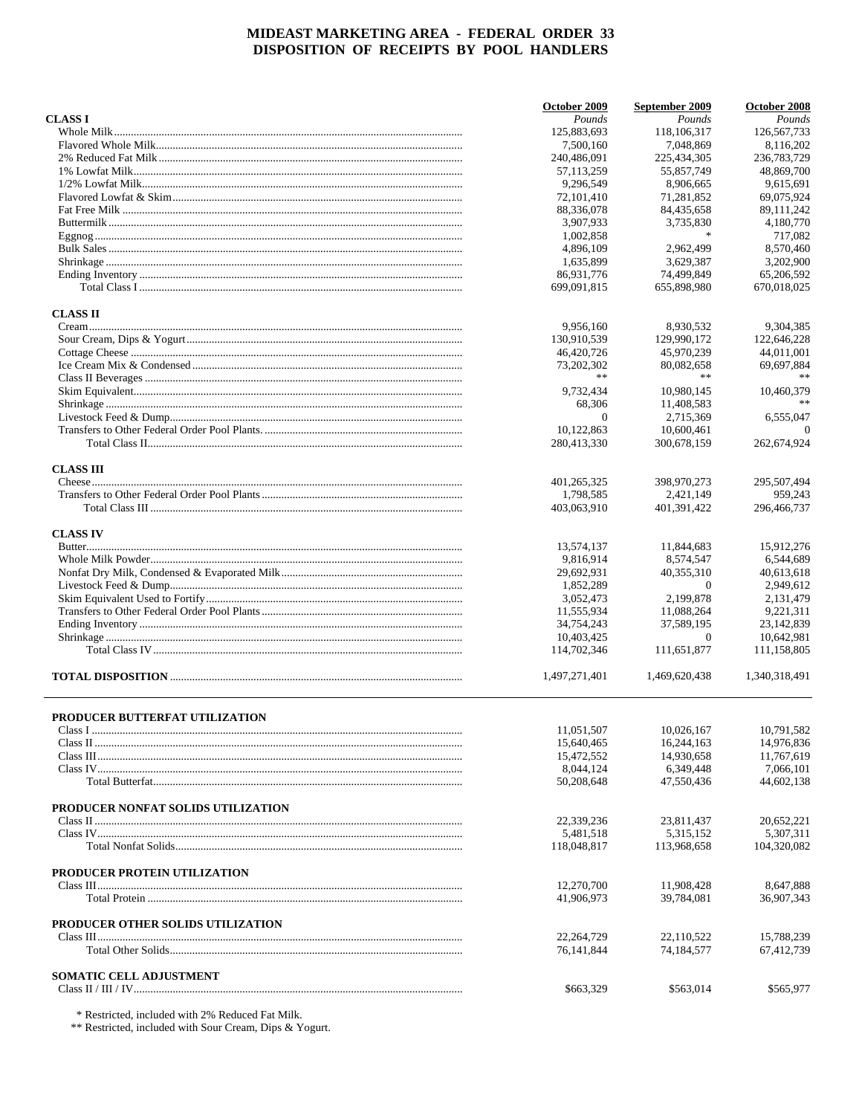|                                    | October 2009  | September 2009 | October 2008  |
|------------------------------------|---------------|----------------|---------------|
| <b>CLASS I</b>                     | Pounds        | Pounds         | Pounds        |
|                                    | 125,883,693   | 118,106,317    | 126, 567, 733 |
|                                    | 7,500,160     | 7.048.869      | 8.116.202     |
|                                    | 240,486,091   | 225,434,305    | 236,783,729   |
|                                    | 57, 113, 259  | 55,857,749     | 48.869.700    |
|                                    | 9,296,549     | 8,906,665      | 9,615,691     |
|                                    | 72, 101, 410  | 71,281,852     | 69,075,924    |
|                                    | 88,336,078    | 84,435,658     | 89,111,242    |
|                                    | 3,907,933     | 3,735,830      | 4,180,770     |
|                                    | 1,002,858     | $\ast$         | 717,082       |
|                                    | 4,896,109     | 2,962,499      | 8,570,460     |
|                                    | 1,635,899     | 3,629,387      | 3,202,900     |
|                                    | 86,931,776    | 74,499,849     | 65,206,592    |
|                                    | 699,091,815   | 655,898,980    | 670,018,025   |
| <b>CLASS II</b>                    |               |                |               |
|                                    | 9,956,160     | 8,930,532      | 9,304,385     |
|                                    | 130,910,539   | 129,990,172    | 122,646,228   |
|                                    | 46,420,726    | 45,970,239     | 44,011,001    |
|                                    | 73,202,302    | 80,082,658     | 69,697,884    |
|                                    | **            | $\ast\ast$     | 水水            |
|                                    | 9.732.434     | 10,980,145     | 10.460.379    |
|                                    | 68,306        | 11,408,583     |               |
|                                    | $\theta$      | 2,715,369      | 6,555,047     |
|                                    | 10,122,863    | 10,600,461     | $\Omega$      |
|                                    | 280,413,330   | 300,678,159    | 262,674,924   |
| <b>CLASS III</b>                   |               |                |               |
|                                    | 401, 265, 325 | 398,970,273    | 295,507,494   |
|                                    | 1,798,585     | 2,421,149      | 959,243       |
|                                    | 403,063,910   | 401,391,422    | 296,466,737   |
| <b>CLASS IV</b>                    |               |                |               |
|                                    | 13,574,137    | 11,844,683     | 15,912,276    |
|                                    | 9,816,914     | 8,574,547      | 6,544,689     |
|                                    | 29,692,931    | 40,355,310     | 40,613,618    |
|                                    | 1,852,289     | $\theta$       | 2,949,612     |
|                                    | 3,052,473     | 2,199,878      | 2,131,479     |
|                                    | 11,555,934    | 11,088,264     | 9,221,311     |
|                                    | 34,754,243    | 37,589,195     | 23,142,839    |
|                                    | 10,403,425    | $\theta$       | 10,642,981    |
|                                    | 114,702,346   | 111.651.877    | 111,158,805   |
|                                    | 1,497,271,401 | 1,469,620,438  | 1,340,318,491 |
|                                    |               |                |               |
| PRODUCER BUTTERFAT UTILIZATION     |               |                |               |
|                                    | 11,051,507    | 10,026,167     | 10,791,582    |
|                                    | 15,640,465    | 16,244,163     | 14,976,836    |
|                                    | 15,472,552    | 14,930,658     | 11,767,619    |
|                                    | 8.044.124     | 6,349,448      | 7,066,101     |
|                                    | 50,208,648    | 47,550,436     | 44,602,138    |
| PRODUCER NONFAT SOLIDS UTILIZATION |               |                |               |
|                                    | 22,339,236    | 23,811,437     | 20,652,221    |
|                                    | 5,481,518     | 5,315,152      | 5,307,311     |
|                                    | 118,048,817   | 113,968,658    | 104,320,082   |
| PRODUCER PROTEIN UTILIZATION       |               |                |               |
|                                    | 12,270,700    | 11,908,428     | 8.647.888     |
|                                    | 41,906,973    | 39,784,081     | 36,907,343    |
| PRODUCER OTHER SOLIDS UTILIZATION  |               |                |               |
|                                    | 22, 264, 729  | 22,110,522     | 15,788,239    |
|                                    | 76, 141, 844  | 74,184,577     | 67,412,739    |
|                                    |               |                |               |
| <b>SOMATIC CELL ADJUSTMENT</b>     |               |                |               |
|                                    | \$663,329     | \$563,014      | \$565,977     |
|                                    |               |                |               |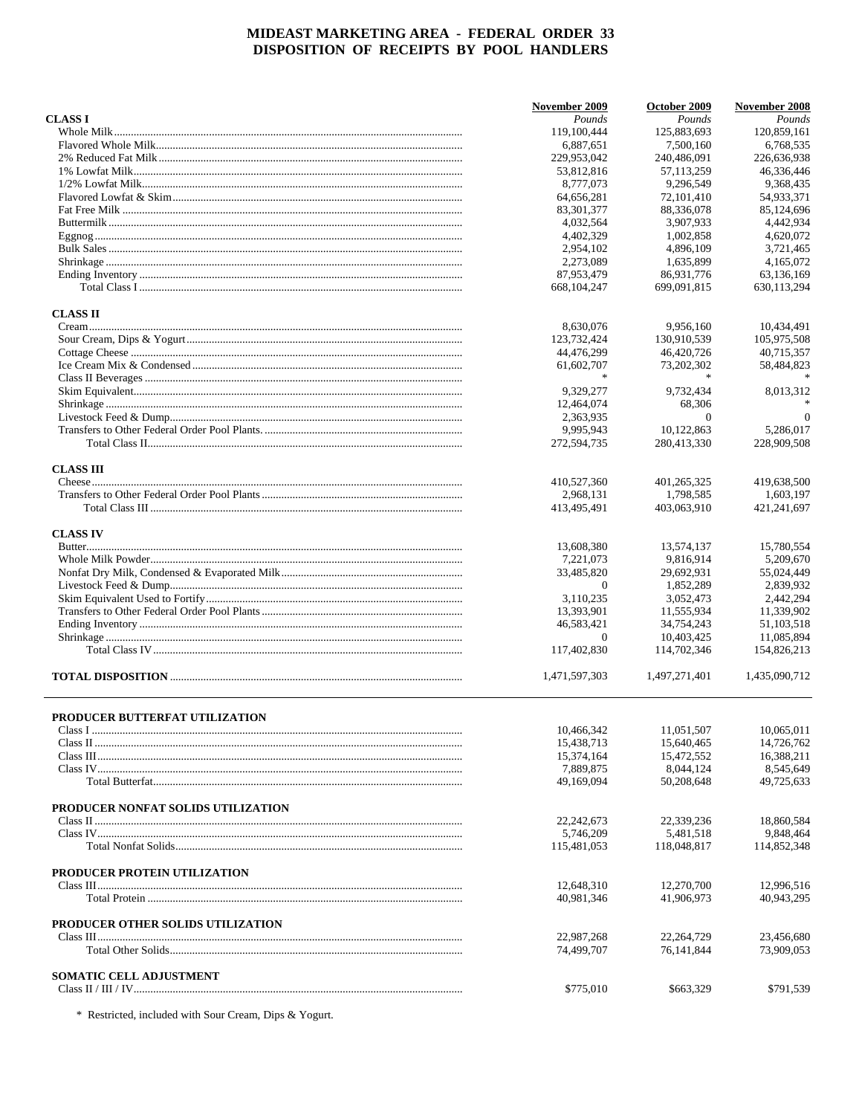|                                           | November 2009 | October 2009  | November 2008  |
|-------------------------------------------|---------------|---------------|----------------|
| <b>CLASS I</b>                            | Pounds        | Pounds        | Pounds         |
|                                           | 119,100,444   | 125,883,693   | 120.859.161    |
|                                           | 6,887,651     | 7,500,160     | 6,768,535      |
|                                           | 229,953,042   | 240,486,091   | 226,636,938    |
|                                           | 53,812,816    | 57,113,259    | 46,336,446     |
|                                           | 8,777,073     | 9,296,549     | 9,368,435      |
|                                           | 64,656,281    | 72,101,410    | 54,933,371     |
|                                           | 83,301,377    | 88,336,078    | 85,124,696     |
|                                           | 4,032,564     | 3,907,933     | 4,442,934      |
|                                           | 4.402.329     | 1.002.858     | 4,620,072      |
|                                           | 2,954,102     | 4,896,109     | 3,721,465      |
|                                           | 2,273,089     | 1,635,899     | 4,165,072      |
|                                           | 87,953,479    | 86,931,776    | 63,136,169     |
|                                           | 668, 104, 247 | 699,091,815   | 630,113,294    |
| <b>CLASS II</b>                           |               |               |                |
|                                           | 8,630,076     | 9,956,160     | 10,434,491     |
|                                           | 123,732,424   | 130,910,539   | 105,975,508    |
|                                           | 44,476,299    | 46,420,726    | 40,715,357     |
|                                           | 61,602,707    | 73,202,302    | 58,484,823     |
|                                           |               |               |                |
|                                           | 9,329,277     | 9,732,434     | 8,013,312      |
|                                           | 12,464,074    | 68,306        |                |
|                                           | 2,363,935     | $\theta$      | $\overline{0}$ |
|                                           | 9.995.943     | 10,122,863    | 5,286,017      |
|                                           | 272,594,735   | 280,413,330   | 228,909,508    |
| <b>CLASS III</b>                          |               |               |                |
|                                           | 410,527,360   | 401,265,325   | 419,638,500    |
|                                           | 2,968,131     | 1,798,585     | 1,603,197      |
|                                           | 413,495,491   | 403,063,910   | 421,241,697    |
| <b>CLASS IV</b>                           |               |               |                |
|                                           | 13,608,380    | 13,574,137    | 15,780,554     |
|                                           | 7,221,073     | 9,816,914     | 5,209,670      |
|                                           | 33,485,820    | 29,692,931    | 55,024,449     |
|                                           | $\theta$      | 1,852,289     | 2,839,932      |
|                                           | 3,110,235     | 3,052,473     | 2,442,294      |
|                                           | 13,393,901    | 11,555,934    | 11,339,902     |
|                                           | 46,583,421    | 34,754,243    | 51,103,518     |
|                                           | $\theta$      | 10,403,425    | 11,085,894     |
|                                           | 117,402,830   | 114,702,346   | 154,826,213    |
|                                           | 1,471,597,303 | 1,497,271,401 | 1.435.090.712  |
|                                           |               |               |                |
| PRODUCER BUTTERFAT UTILIZATION<br>Class I | 10,466,342    | 11,051,507    | 10,065,011     |
|                                           | 15,438,713    | 15,640,465    | 14,726,762     |
|                                           | 15,374,164    | 15,472,552    | 16,388,211     |
|                                           | 7,889,875     | 8,044,124     | 8,545,649      |
|                                           | 49,169,094    | 50,208,648    | 49,725,633     |
| PRODUCER NONFAT SOLIDS UTILIZATION        |               |               |                |
|                                           | 22, 242, 673  | 22,339,236    | 18,860,584     |
|                                           | 5,746,209     | 5.481.518     | 9,848,464      |
|                                           | 115,481,053   | 118,048,817   | 114,852,348    |
| PRODUCER PROTEIN UTILIZATION              |               |               |                |
|                                           | 12,648,310    | 12,270,700    | 12,996,516     |
|                                           | 40,981,346    | 41,906,973    | 40,943,295     |
| PRODUCER OTHER SOLIDS UTILIZATION         |               |               |                |
|                                           | 22,987,268    | 22,264,729    | 23,456,680     |
|                                           | 74,499,707    | 76,141,844    | 73,909,053     |
| SOMATIC CELL ADJUSTMENT                   |               |               |                |
|                                           | \$775,010     | \$663,329     | \$791,539      |

\* Restricted, included with Sour Cream, Dips & Yogurt.